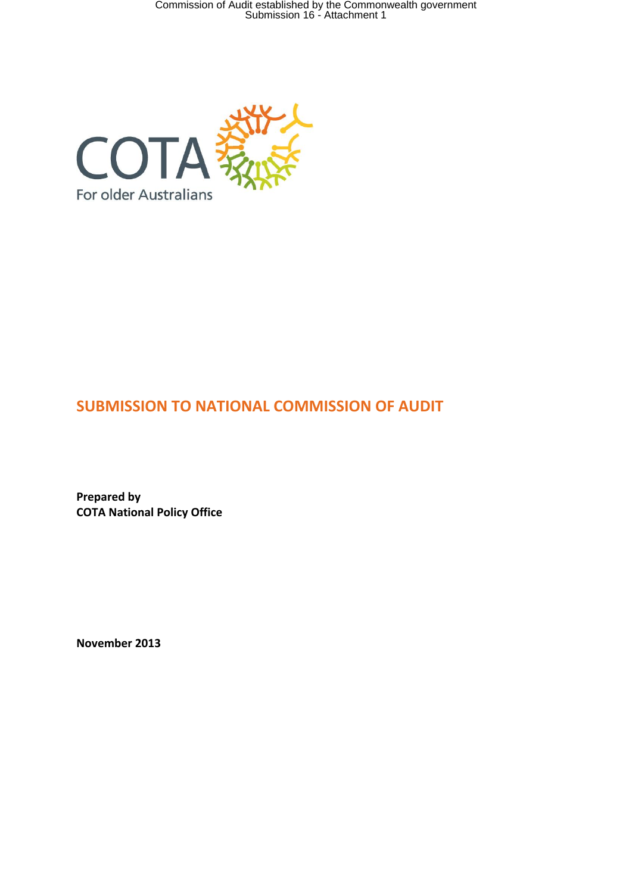Commission of Audit established by the Commonwealth government Submission 16 - Attachment 1



# **SUBMISSION TO NATIONAL COMMISSION OF AUDIT**

**Prepared by COTA National Policy Office** 

**November 2013**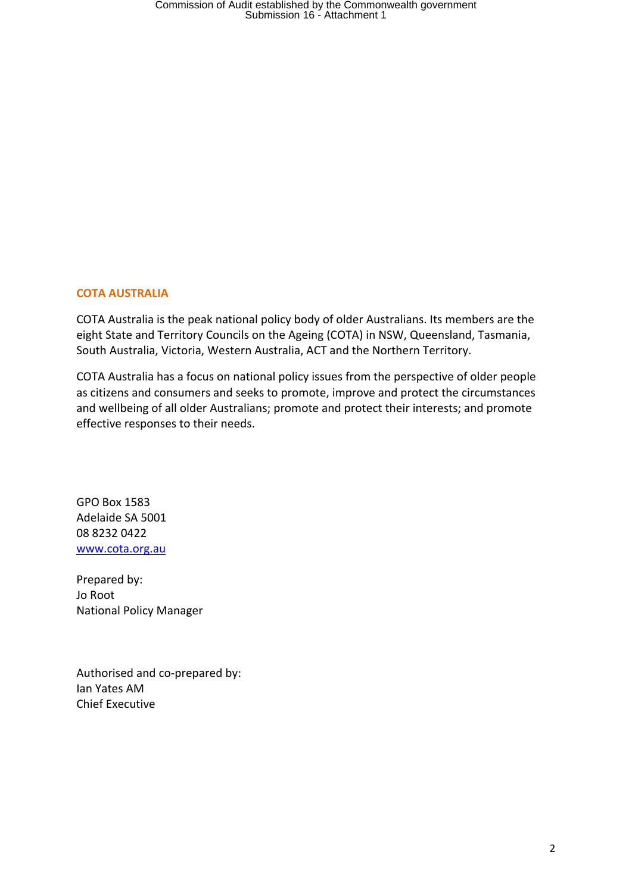#### **COTA AUSTRALIA**

COTA Australia is the peak national policy body of older Australians. Its members are the eight State and Territory Councils on the Ageing (COTA) in NSW, Queensland, Tasmania, South Australia, Victoria, Western Australia, ACT and the Northern Territory.

COTA Australia has a focus on national policy issues from the perspective of older people as citizens and consumers and seeks to promote, improve and protect the circumstances and wellbeing of all older Australians; promote and protect their interests; and promote effective responses to their needs.

GPO Box 1583 Adelaide SA 5001 08 8232 0422 [www.cota.org.au](http://www.cotaaustralia.org.au/) 

Prepared by: Jo Root National Policy Manager

Authorised and co-prepared by: Ian Yates AM Chief Executive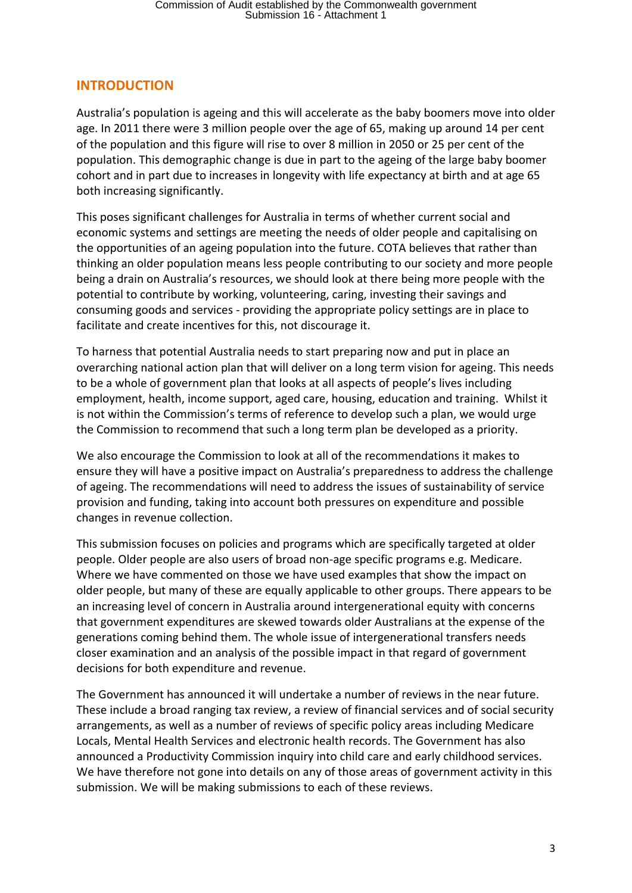## **INTRODUCTION**

Australia's population is ageing and this will accelerate as the baby boomers move into older age. In 2011 there were 3 million people over the age of 65, making up around 14 per cent of the population and this figure will rise to over 8 million in 2050 or 25 per cent of the population. This demographic change is due in part to the ageing of the large baby boomer cohort and in part due to increases in longevity with life expectancy at birth and at age 65 both increasing significantly.

This poses significant challenges for Australia in terms of whether current social and economic systems and settings are meeting the needs of older people and capitalising on the opportunities of an ageing population into the future. COTA believes that rather than thinking an older population means less people contributing to our society and more people being a drain on Australia's resources, we should look at there being more people with the potential to contribute by working, volunteering, caring, investing their savings and consuming goods and services - providing the appropriate policy settings are in place to facilitate and create incentives for this, not discourage it.

To harness that potential Australia needs to start preparing now and put in place an overarching national action plan that will deliver on a long term vision for ageing. This needs to be a whole of government plan that looks at all aspects of people's lives including employment, health, income support, aged care, housing, education and training. Whilst it is not within the Commission's terms of reference to develop such a plan, we would urge the Commission to recommend that such a long term plan be developed as a priority.

We also encourage the Commission to look at all of the recommendations it makes to ensure they will have a positive impact on Australia's preparedness to address the challenge of ageing. The recommendations will need to address the issues of sustainability of service provision and funding, taking into account both pressures on expenditure and possible changes in revenue collection.

This submission focuses on policies and programs which are specifically targeted at older people. Older people are also users of broad non-age specific programs e.g. Medicare. Where we have commented on those we have used examples that show the impact on older people, but many of these are equally applicable to other groups. There appears to be an increasing level of concern in Australia around intergenerational equity with concerns that government expenditures are skewed towards older Australians at the expense of the generations coming behind them. The whole issue of intergenerational transfers needs closer examination and an analysis of the possible impact in that regard of government decisions for both expenditure and revenue.

The Government has announced it will undertake a number of reviews in the near future. These include a broad ranging tax review, a review of financial services and of social security arrangements, as well as a number of reviews of specific policy areas including Medicare Locals, Mental Health Services and electronic health records. The Government has also announced a Productivity Commission inquiry into child care and early childhood services. We have therefore not gone into details on any of those areas of government activity in this submission. We will be making submissions to each of these reviews.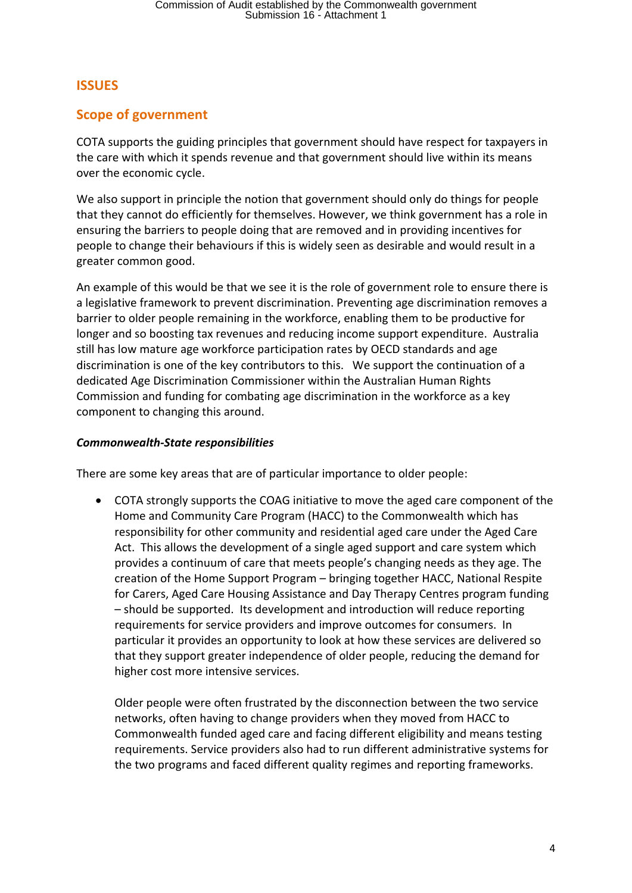## **ISSUES**

## **Scope of government**

COTA supports the guiding principles that government should have respect for taxpayers in the care with which it spends revenue and that government should live within its means over the economic cycle.

We also support in principle the notion that government should only do things for people that they cannot do efficiently for themselves. However, we think government has a role in ensuring the barriers to people doing that are removed and in providing incentives for people to change their behaviours if this is widely seen as desirable and would result in a greater common good.

An example of this would be that we see it is the role of government role to ensure there is a legislative framework to prevent discrimination. Preventing age discrimination removes a barrier to older people remaining in the workforce, enabling them to be productive for longer and so boosting tax revenues and reducing income support expenditure. Australia still has low mature age workforce participation rates by OECD standards and age discrimination is one of the key contributors to this. We support the continuation of a dedicated Age Discrimination Commissioner within the Australian Human Rights Commission and funding for combating age discrimination in the workforce as a key component to changing this around.

### *Commonwealth-State responsibilities*

There are some key areas that are of particular importance to older people:

 COTA strongly supports the COAG initiative to move the aged care component of the Home and Community Care Program (HACC) to the Commonwealth which has responsibility for other community and residential aged care under the Aged Care Act. This allows the development of a single aged support and care system which provides a continuum of care that meets people's changing needs as they age. The creation of the Home Support Program – bringing together HACC, National Respite for Carers, Aged Care Housing Assistance and Day Therapy Centres program funding – should be supported. Its development and introduction will reduce reporting requirements for service providers and improve outcomes for consumers. In particular it provides an opportunity to look at how these services are delivered so that they support greater independence of older people, reducing the demand for higher cost more intensive services.

Older people were often frustrated by the disconnection between the two service networks, often having to change providers when they moved from HACC to Commonwealth funded aged care and facing different eligibility and means testing requirements. Service providers also had to run different administrative systems for the two programs and faced different quality regimes and reporting frameworks.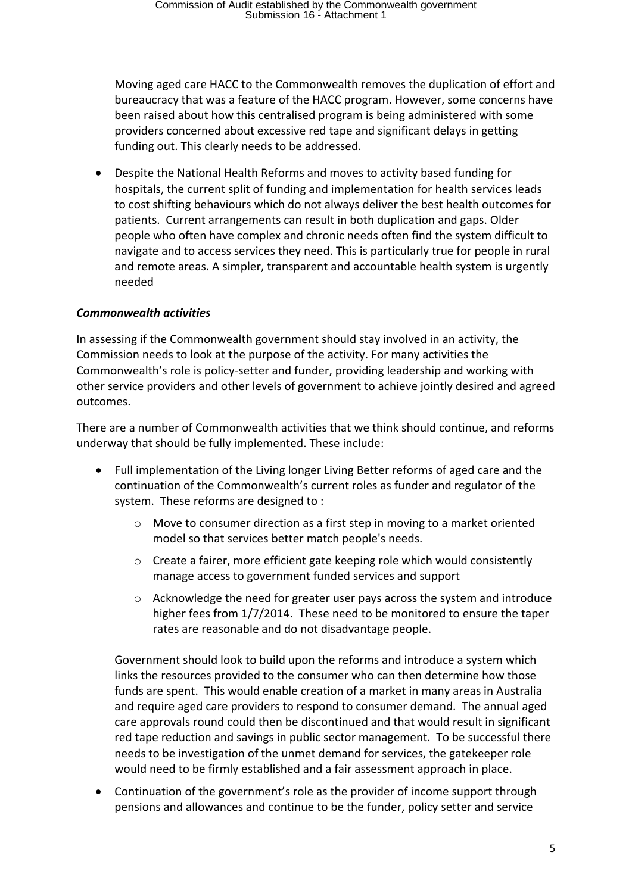Moving aged care HACC to the Commonwealth removes the duplication of effort and bureaucracy that was a feature of the HACC program. However, some concerns have been raised about how this centralised program is being administered with some providers concerned about excessive red tape and significant delays in getting funding out. This clearly needs to be addressed.

 Despite the National Health Reforms and moves to activity based funding for hospitals, the current split of funding and implementation for health services leads to cost shifting behaviours which do not always deliver the best health outcomes for patients. Current arrangements can result in both duplication and gaps. Older people who often have complex and chronic needs often find the system difficult to navigate and to access services they need. This is particularly true for people in rural and remote areas. A simpler, transparent and accountable health system is urgently needed

## *Commonwealth activities*

In assessing if the Commonwealth government should stay involved in an activity, the Commission needs to look at the purpose of the activity. For many activities the Commonwealth's role is policy-setter and funder, providing leadership and working with other service providers and other levels of government to achieve jointly desired and agreed outcomes.

There are a number of Commonwealth activities that we think should continue, and reforms underway that should be fully implemented. These include:

- Full implementation of the Living longer Living Better reforms of aged care and the continuation of the Commonwealth's current roles as funder and regulator of the system. These reforms are designed to :
	- $\circ$  Move to consumer direction as a first step in moving to a market oriented model so that services better match people's needs.
	- o Create a fairer, more efficient gate keeping role which would consistently manage access to government funded services and support
	- $\circ$  Acknowledge the need for greater user pays across the system and introduce higher fees from 1/7/2014. These need to be monitored to ensure the taper rates are reasonable and do not disadvantage people.

Government should look to build upon the reforms and introduce a system which links the resources provided to the consumer who can then determine how those funds are spent. This would enable creation of a market in many areas in Australia and require aged care providers to respond to consumer demand. The annual aged care approvals round could then be discontinued and that would result in significant red tape reduction and savings in public sector management. To be successful there needs to be investigation of the unmet demand for services, the gatekeeper role would need to be firmly established and a fair assessment approach in place.

 Continuation of the government's role as the provider of income support through pensions and allowances and continue to be the funder, policy setter and service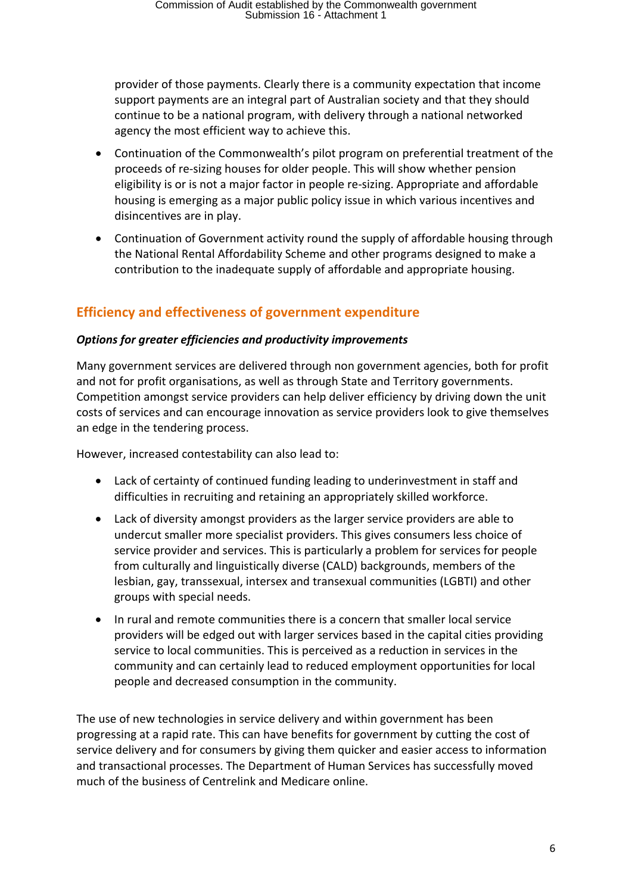provider of those payments. Clearly there is a community expectation that income support payments are an integral part of Australian society and that they should continue to be a national program, with delivery through a national networked agency the most efficient way to achieve this.

- Continuation of the Commonwealth's pilot program on preferential treatment of the proceeds of re-sizing houses for older people. This will show whether pension eligibility is or is not a major factor in people re-sizing. Appropriate and affordable housing is emerging as a major public policy issue in which various incentives and disincentives are in play.
- Continuation of Government activity round the supply of affordable housing through the National Rental Affordability Scheme and other programs designed to make a contribution to the inadequate supply of affordable and appropriate housing.

## **Efficiency and effectiveness of government expenditure**

#### *Options for greater efficiencies and productivity improvements*

Many government services are delivered through non government agencies, both for profit and not for profit organisations, as well as through State and Territory governments. Competition amongst service providers can help deliver efficiency by driving down the unit costs of services and can encourage innovation as service providers look to give themselves an edge in the tendering process.

However, increased contestability can also lead to:

- Lack of certainty of continued funding leading to underinvestment in staff and difficulties in recruiting and retaining an appropriately skilled workforce.
- Lack of diversity amongst providers as the larger service providers are able to undercut smaller more specialist providers. This gives consumers less choice of service provider and services. This is particularly a problem for services for people from culturally and linguistically diverse (CALD) backgrounds, members of the lesbian, gay, transsexual, intersex and transexual communities (LGBTI) and other groups with special needs.
- In rural and remote communities there is a concern that smaller local service providers will be edged out with larger services based in the capital cities providing service to local communities. This is perceived as a reduction in services in the community and can certainly lead to reduced employment opportunities for local people and decreased consumption in the community.

The use of new technologies in service delivery and within government has been progressing at a rapid rate. This can have benefits for government by cutting the cost of service delivery and for consumers by giving them quicker and easier access to information and transactional processes. The Department of Human Services has successfully moved much of the business of Centrelink and Medicare online.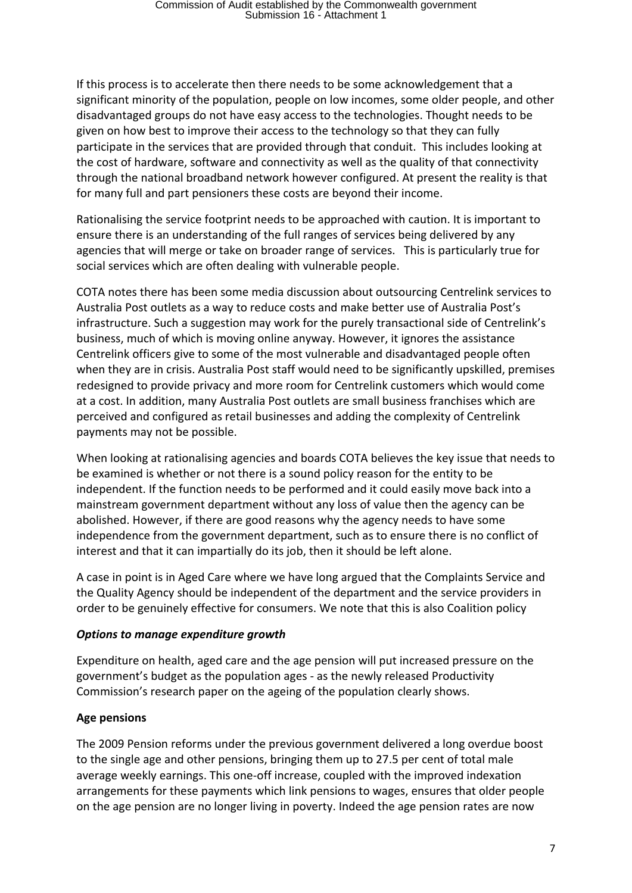If this process is to accelerate then there needs to be some acknowledgement that a significant minority of the population, people on low incomes, some older people, and other disadvantaged groups do not have easy access to the technologies. Thought needs to be given on how best to improve their access to the technology so that they can fully participate in the services that are provided through that conduit. This includes looking at the cost of hardware, software and connectivity as well as the quality of that connectivity through the national broadband network however configured. At present the reality is that for many full and part pensioners these costs are beyond their income.

Rationalising the service footprint needs to be approached with caution. It is important to ensure there is an understanding of the full ranges of services being delivered by any agencies that will merge or take on broader range of services. This is particularly true for social services which are often dealing with vulnerable people.

COTA notes there has been some media discussion about outsourcing Centrelink services to Australia Post outlets as a way to reduce costs and make better use of Australia Post's infrastructure. Such a suggestion may work for the purely transactional side of Centrelink's business, much of which is moving online anyway. However, it ignores the assistance Centrelink officers give to some of the most vulnerable and disadvantaged people often when they are in crisis. Australia Post staff would need to be significantly upskilled, premises redesigned to provide privacy and more room for Centrelink customers which would come at a cost. In addition, many Australia Post outlets are small business franchises which are perceived and configured as retail businesses and adding the complexity of Centrelink payments may not be possible.

When looking at rationalising agencies and boards COTA believes the key issue that needs to be examined is whether or not there is a sound policy reason for the entity to be independent. If the function needs to be performed and it could easily move back into a mainstream government department without any loss of value then the agency can be abolished. However, if there are good reasons why the agency needs to have some independence from the government department, such as to ensure there is no conflict of interest and that it can impartially do its job, then it should be left alone.

A case in point is in Aged Care where we have long argued that the Complaints Service and the Quality Agency should be independent of the department and the service providers in order to be genuinely effective for consumers. We note that this is also Coalition policy

### *Options to manage expenditure growth*

Expenditure on health, aged care and the age pension will put increased pressure on the government's budget as the population ages - as the newly released Productivity Commission's research paper on the ageing of the population clearly shows.

### **Age pensions**

The 2009 Pension reforms under the previous government delivered a long overdue boost to the single age and other pensions, bringing them up to 27.5 per cent of total male average weekly earnings. This one-off increase, coupled with the improved indexation arrangements for these payments which link pensions to wages, ensures that older people on the age pension are no longer living in poverty. Indeed the age pension rates are now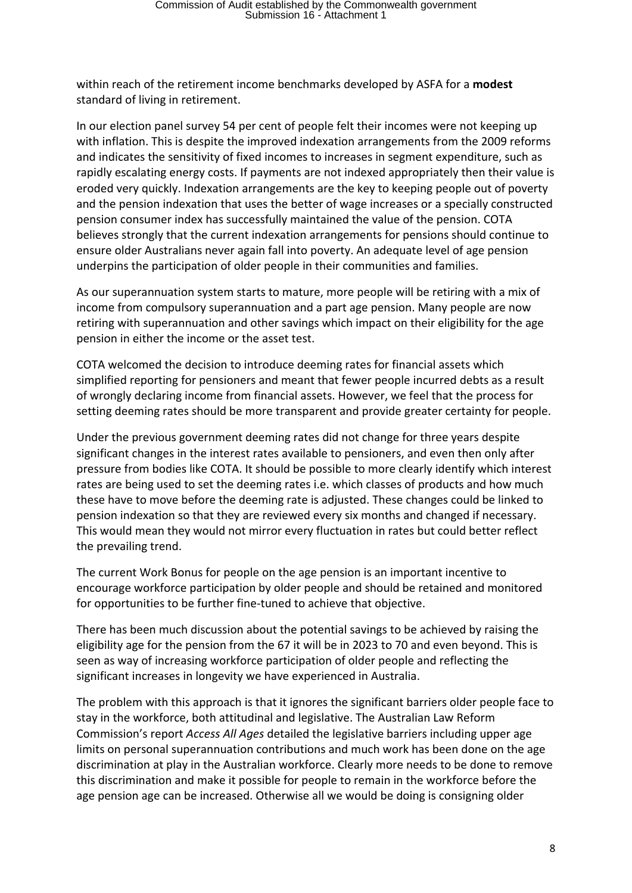within reach of the retirement income benchmarks developed by ASFA for a **modest** standard of living in retirement.

In our election panel survey 54 per cent of people felt their incomes were not keeping up with inflation. This is despite the improved indexation arrangements from the 2009 reforms and indicates the sensitivity of fixed incomes to increases in segment expenditure, such as rapidly escalating energy costs. If payments are not indexed appropriately then their value is eroded very quickly. Indexation arrangements are the key to keeping people out of poverty and the pension indexation that uses the better of wage increases or a specially constructed pension consumer index has successfully maintained the value of the pension. COTA believes strongly that the current indexation arrangements for pensions should continue to ensure older Australians never again fall into poverty. An adequate level of age pension underpins the participation of older people in their communities and families.

As our superannuation system starts to mature, more people will be retiring with a mix of income from compulsory superannuation and a part age pension. Many people are now retiring with superannuation and other savings which impact on their eligibility for the age pension in either the income or the asset test.

COTA welcomed the decision to introduce deeming rates for financial assets which simplified reporting for pensioners and meant that fewer people incurred debts as a result of wrongly declaring income from financial assets. However, we feel that the process for setting deeming rates should be more transparent and provide greater certainty for people.

Under the previous government deeming rates did not change for three years despite significant changes in the interest rates available to pensioners, and even then only after pressure from bodies like COTA. It should be possible to more clearly identify which interest rates are being used to set the deeming rates i.e. which classes of products and how much these have to move before the deeming rate is adjusted. These changes could be linked to pension indexation so that they are reviewed every six months and changed if necessary. This would mean they would not mirror every fluctuation in rates but could better reflect the prevailing trend.

The current Work Bonus for people on the age pension is an important incentive to encourage workforce participation by older people and should be retained and monitored for opportunities to be further fine-tuned to achieve that objective.

There has been much discussion about the potential savings to be achieved by raising the eligibility age for the pension from the 67 it will be in 2023 to 70 and even beyond. This is seen as way of increasing workforce participation of older people and reflecting the significant increases in longevity we have experienced in Australia.

The problem with this approach is that it ignores the significant barriers older people face to stay in the workforce, both attitudinal and legislative. The Australian Law Reform Commission's report *Access All Ages* detailed the legislative barriers including upper age limits on personal superannuation contributions and much work has been done on the age discrimination at play in the Australian workforce. Clearly more needs to be done to remove this discrimination and make it possible for people to remain in the workforce before the age pension age can be increased. Otherwise all we would be doing is consigning older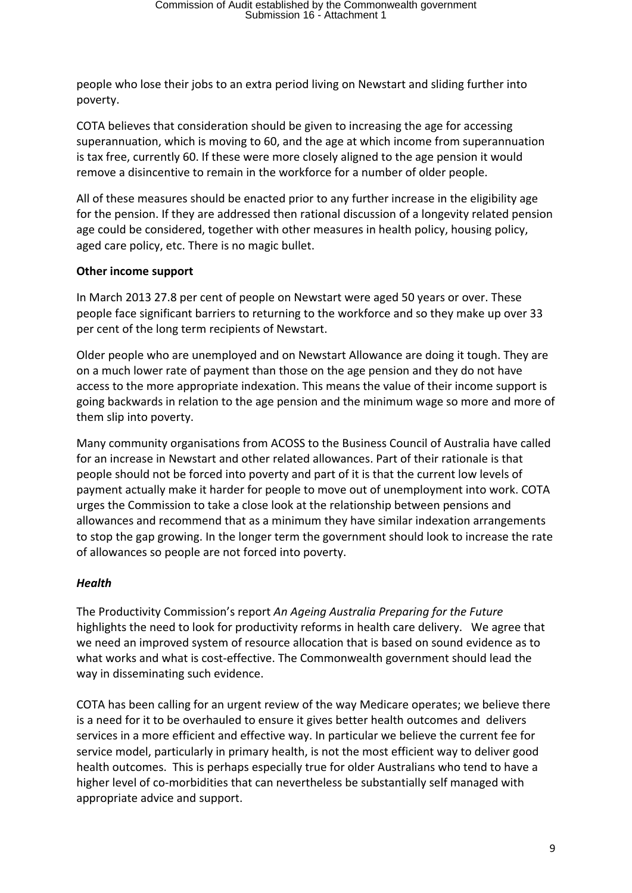people who lose their jobs to an extra period living on Newstart and sliding further into poverty.

COTA believes that consideration should be given to increasing the age for accessing superannuation, which is moving to 60, and the age at which income from superannuation is tax free, currently 60. If these were more closely aligned to the age pension it would remove a disincentive to remain in the workforce for a number of older people.

All of these measures should be enacted prior to any further increase in the eligibility age for the pension. If they are addressed then rational discussion of a longevity related pension age could be considered, together with other measures in health policy, housing policy, aged care policy, etc. There is no magic bullet.

## **Other income support**

In March 2013 27.8 per cent of people on Newstart were aged 50 years or over. These people face significant barriers to returning to the workforce and so they make up over 33 per cent of the long term recipients of Newstart.

Older people who are unemployed and on Newstart Allowance are doing it tough. They are on a much lower rate of payment than those on the age pension and they do not have access to the more appropriate indexation. This means the value of their income support is going backwards in relation to the age pension and the minimum wage so more and more of them slip into poverty.

Many community organisations from ACOSS to the Business Council of Australia have called for an increase in Newstart and other related allowances. Part of their rationale is that people should not be forced into poverty and part of it is that the current low levels of payment actually make it harder for people to move out of unemployment into work. COTA urges the Commission to take a close look at the relationship between pensions and allowances and recommend that as a minimum they have similar indexation arrangements to stop the gap growing. In the longer term the government should look to increase the rate of allowances so people are not forced into poverty.

## *Health*

The Productivity Commission's report *An Ageing Australia Preparing for the Future* highlights the need to look for productivity reforms in health care delivery. We agree that we need an improved system of resource allocation that is based on sound evidence as to what works and what is cost-effective. The Commonwealth government should lead the way in disseminating such evidence.

COTA has been calling for an urgent review of the way Medicare operates; we believe there is a need for it to be overhauled to ensure it gives better health outcomes and delivers services in a more efficient and effective way. In particular we believe the current fee for service model, particularly in primary health, is not the most efficient way to deliver good health outcomes. This is perhaps especially true for older Australians who tend to have a higher level of co-morbidities that can nevertheless be substantially self managed with appropriate advice and support.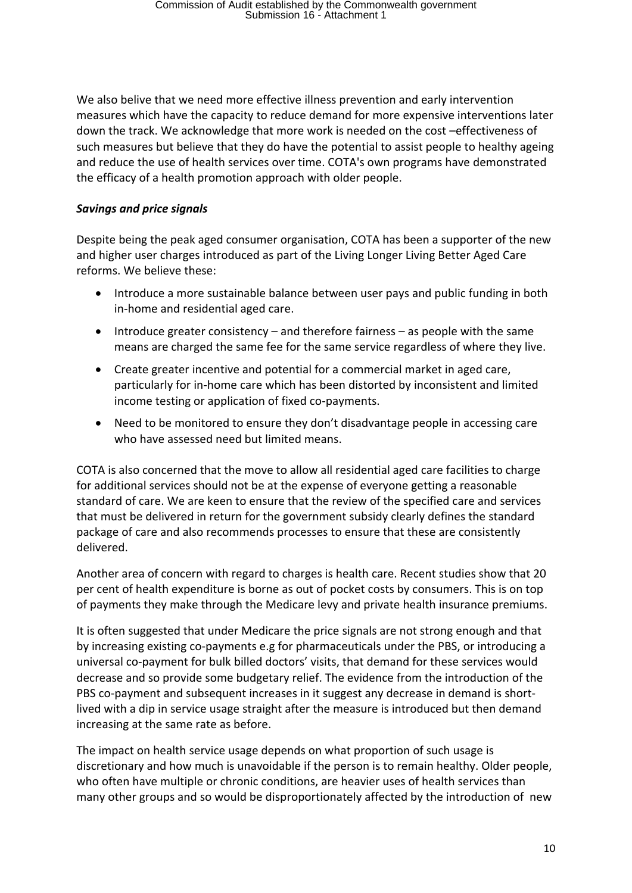We also belive that we need more effective illness prevention and early intervention measures which have the capacity to reduce demand for more expensive interventions later down the track. We acknowledge that more work is needed on the cost –effectiveness of such measures but believe that they do have the potential to assist people to healthy ageing and reduce the use of health services over time. COTA's own programs have demonstrated the efficacy of a health promotion approach with older people.

## *Savings and price signals*

Despite being the peak aged consumer organisation, COTA has been a supporter of the new and higher user charges introduced as part of the Living Longer Living Better Aged Care reforms. We believe these:

- Introduce a more sustainable balance between user pays and public funding in both in-home and residential aged care.
- Introduce greater consistency and therefore fairness as people with the same means are charged the same fee for the same service regardless of where they live.
- Create greater incentive and potential for a commercial market in aged care, particularly for in-home care which has been distorted by inconsistent and limited income testing or application of fixed co-payments.
- Need to be monitored to ensure they don't disadvantage people in accessing care who have assessed need but limited means.

COTA is also concerned that the move to allow all residential aged care facilities to charge for additional services should not be at the expense of everyone getting a reasonable standard of care. We are keen to ensure that the review of the specified care and services that must be delivered in return for the government subsidy clearly defines the standard package of care and also recommends processes to ensure that these are consistently delivered.

Another area of concern with regard to charges is health care. Recent studies show that 20 per cent of health expenditure is borne as out of pocket costs by consumers. This is on top of payments they make through the Medicare levy and private health insurance premiums.

It is often suggested that under Medicare the price signals are not strong enough and that by increasing existing co-payments e.g for pharmaceuticals under the PBS, or introducing a universal co-payment for bulk billed doctors' visits, that demand for these services would decrease and so provide some budgetary relief. The evidence from the introduction of the PBS co-payment and subsequent increases in it suggest any decrease in demand is shortlived with a dip in service usage straight after the measure is introduced but then demand increasing at the same rate as before.

The impact on health service usage depends on what proportion of such usage is discretionary and how much is unavoidable if the person is to remain healthy. Older people, who often have multiple or chronic conditions, are heavier uses of health services than many other groups and so would be disproportionately affected by the introduction of new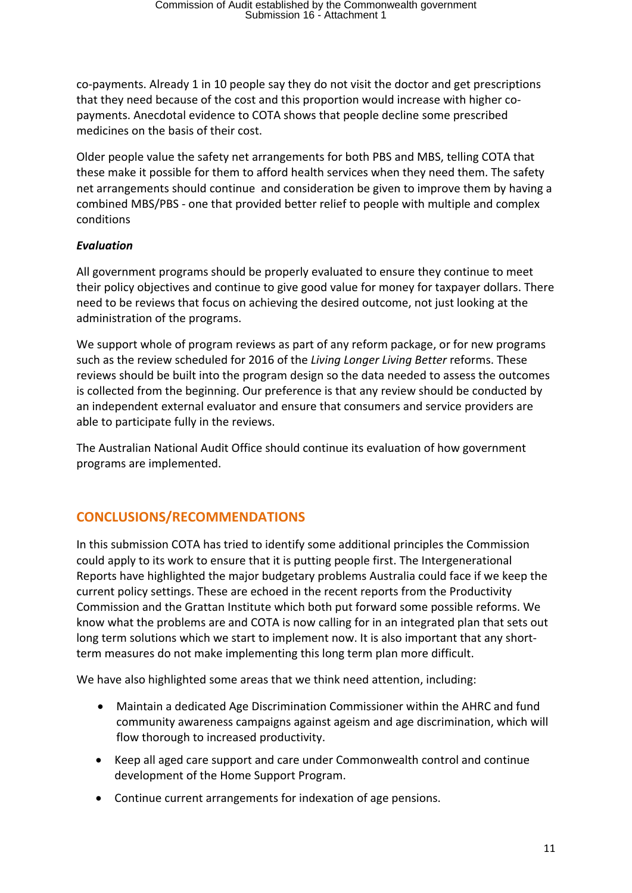co-payments. Already 1 in 10 people say they do not visit the doctor and get prescriptions that they need because of the cost and this proportion would increase with higher copayments. Anecdotal evidence to COTA shows that people decline some prescribed medicines on the basis of their cost.

Older people value the safety net arrangements for both PBS and MBS, telling COTA that these make it possible for them to afford health services when they need them. The safety net arrangements should continue and consideration be given to improve them by having a combined MBS/PBS - one that provided better relief to people with multiple and complex conditions

### *Evaluation*

All government programs should be properly evaluated to ensure they continue to meet their policy objectives and continue to give good value for money for taxpayer dollars. There need to be reviews that focus on achieving the desired outcome, not just looking at the administration of the programs.

We support whole of program reviews as part of any reform package, or for new programs such as the review scheduled for 2016 of the *Living Longer Living Better* reforms. These reviews should be built into the program design so the data needed to assess the outcomes is collected from the beginning. Our preference is that any review should be conducted by an independent external evaluator and ensure that consumers and service providers are able to participate fully in the reviews.

The Australian National Audit Office should continue its evaluation of how government programs are implemented.

## **CONCLUSIONS/RECOMMENDATIONS**

In this submission COTA has tried to identify some additional principles the Commission could apply to its work to ensure that it is putting people first. The Intergenerational Reports have highlighted the major budgetary problems Australia could face if we keep the current policy settings. These are echoed in the recent reports from the Productivity Commission and the Grattan Institute which both put forward some possible reforms. We know what the problems are and COTA is now calling for in an integrated plan that sets out long term solutions which we start to implement now. It is also important that any shortterm measures do not make implementing this long term plan more difficult.

We have also highlighted some areas that we think need attention, including:

- Maintain a dedicated Age Discrimination Commissioner within the AHRC and fund community awareness campaigns against ageism and age discrimination, which will flow thorough to increased productivity.
- Keep all aged care support and care under Commonwealth control and continue development of the Home Support Program.
- Continue current arrangements for indexation of age pensions.